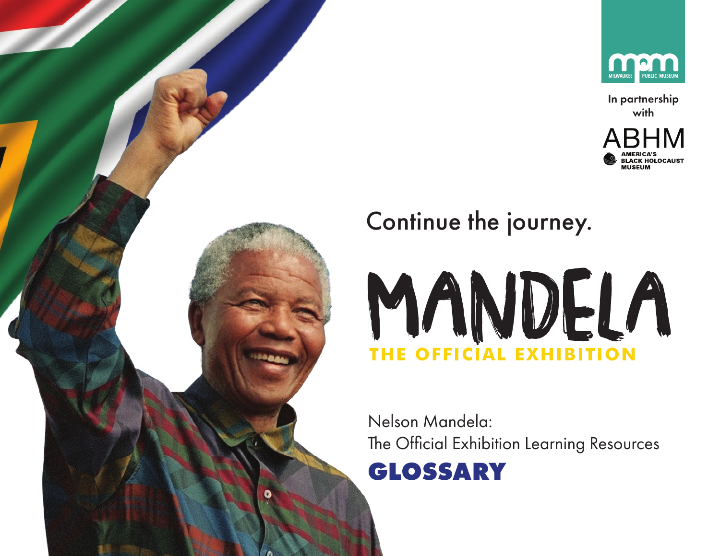

In partnership with







Nelson Mandela: The Official Exhibition Learning Resources

**GLOSSARY**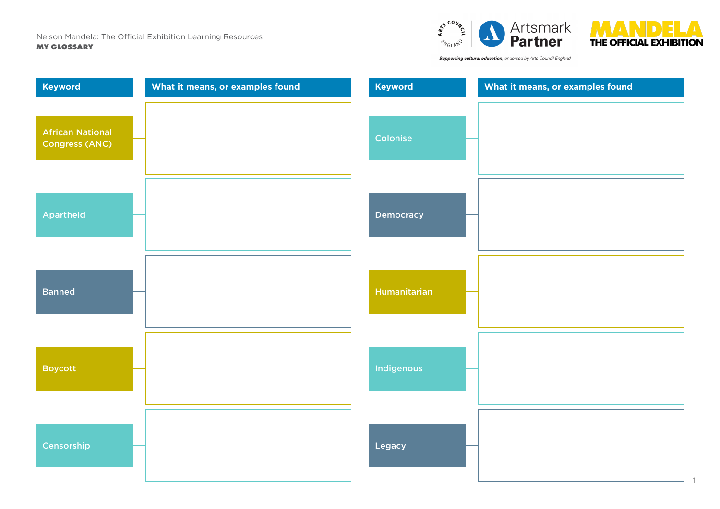



Supporting cultural education, endorsed by Arts Council England

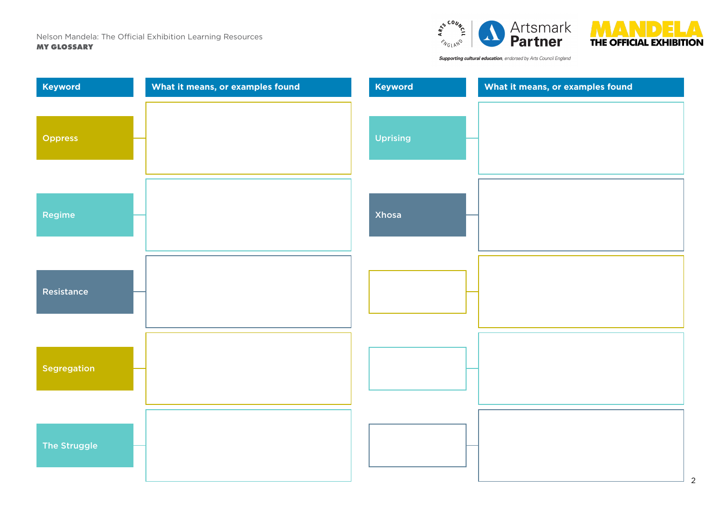



Supporting cultural education, endorsed by Arts Council England